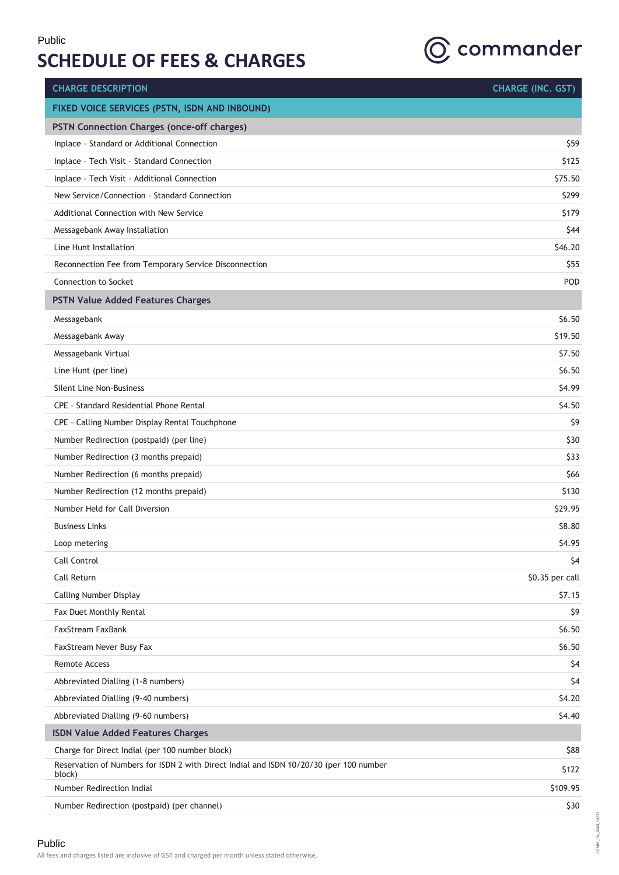

| <b>CHARGE DESCRIPTION</b>                                                                        | <b>CHARGE (INC. GST)</b> |
|--------------------------------------------------------------------------------------------------|--------------------------|
| FIXED VOICE SERVICES (PSTN, ISDN AND INBOUND)                                                    |                          |
| PSTN Connection Charges (once-off charges)                                                       |                          |
| Inplace - Standard or Additional Connection                                                      | \$59                     |
| Inplace - Tech Visit - Standard Connection                                                       | \$125                    |
| Inplace - Tech Visit - Additional Connection                                                     | \$75.50                  |
| New Service/Connection - Standard Connection                                                     | \$299                    |
| Additional Connection with New Service                                                           | \$179                    |
| Messagebank Away Installation                                                                    | \$44                     |
| Line Hunt Installation                                                                           | \$46.20                  |
| Reconnection Fee from Temporary Service Disconnection                                            | \$55                     |
| Connection to Socket                                                                             | POD                      |
| <b>PSTN Value Added Features Charges</b>                                                         |                          |
| Messagebank                                                                                      | \$6.50                   |
| Messagebank Away                                                                                 | \$19.50                  |
| Messagebank Virtual                                                                              | \$7.50                   |
| Line Hunt (per line)                                                                             | \$6.50                   |
| Silent Line Non-Business                                                                         | \$4.99                   |
| CPE - Standard Residential Phone Rental                                                          | \$4.50                   |
| CPE - Calling Number Display Rental Touchphone                                                   | \$9                      |
| Number Redirection (postpaid) (per line)                                                         | \$30                     |
| Number Redirection (3 months prepaid)                                                            | \$33                     |
| Number Redirection (6 months prepaid)                                                            | \$66                     |
| Number Redirection (12 months prepaid)                                                           | \$130                    |
| Number Held for Call Diversion                                                                   | \$29.95                  |
| <b>Business Links</b>                                                                            | \$8.80                   |
| Loop metering                                                                                    | \$4.95                   |
| Call Control                                                                                     | \$4                      |
| Call Return                                                                                      | \$0.35 per call          |
| <b>Calling Number Display</b>                                                                    | \$7.15                   |
| Fax Duet Monthly Rental                                                                          | \$9                      |
| FaxStream FaxBank                                                                                | \$6.50                   |
| FaxStream Never Busy Fax                                                                         | \$6.50                   |
| <b>Remote Access</b>                                                                             | \$4                      |
| Abbreviated Dialling (1-8 numbers)                                                               | \$4                      |
| Abbreviated Dialling (9-40 numbers)                                                              | \$4.20                   |
| Abbreviated Dialling (9-60 numbers)                                                              | \$4.40                   |
| <b>ISDN Value Added Features Charges</b>                                                         |                          |
| Charge for Direct Indial (per 100 number block)                                                  | \$88                     |
| Reservation of Numbers for ISDN 2 with Direct Indial and ISDN 10/20/30 (per 100 number<br>block) | \$122                    |
| Number Redirection Indial                                                                        | \$109.95                 |
| Number Redirection (postpaid) (per channel)                                                      | \$30                     |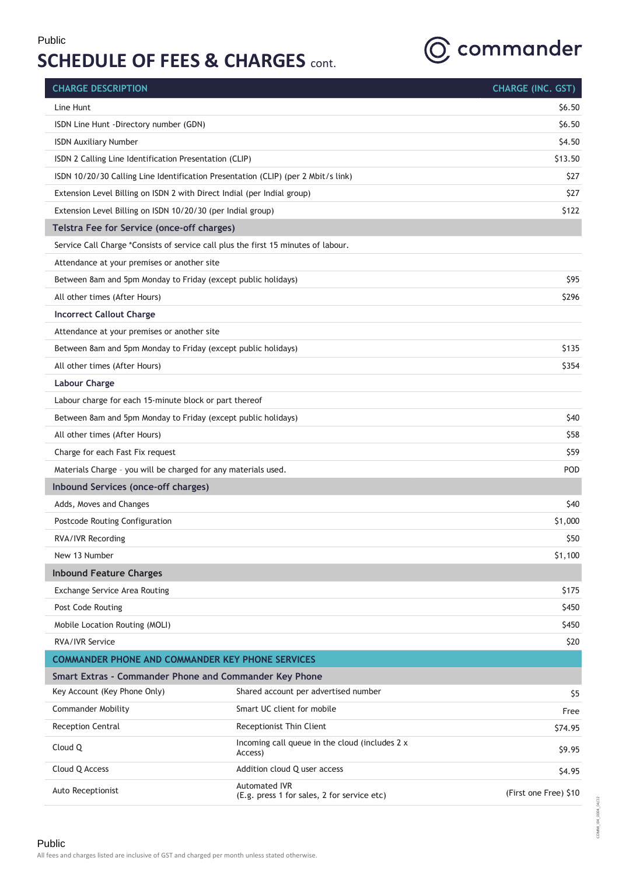

| <b>CHARGE DESCRIPTION</b>                                               |                                                                                    | <b>CHARGE (INC. GST)</b> |
|-------------------------------------------------------------------------|------------------------------------------------------------------------------------|--------------------------|
| Line Hunt                                                               |                                                                                    | \$6.50                   |
| ISDN Line Hunt -Directory number (GDN)                                  |                                                                                    | \$6.50                   |
| <b>ISDN Auxiliary Number</b>                                            |                                                                                    | \$4.50                   |
| ISDN 2 Calling Line Identification Presentation (CLIP)                  |                                                                                    | \$13.50                  |
|                                                                         | ISDN 10/20/30 Calling Line Identification Presentation (CLIP) (per 2 Mbit/s link)  | \$27                     |
| Extension Level Billing on ISDN 2 with Direct Indial (per Indial group) |                                                                                    | \$27                     |
| Extension Level Billing on ISDN 10/20/30 (per Indial group)             |                                                                                    | \$122                    |
| Telstra Fee for Service (once-off charges)                              |                                                                                    |                          |
|                                                                         | Service Call Charge *Consists of service call plus the first 15 minutes of labour. |                          |
| Attendance at your premises or another site                             |                                                                                    |                          |
| Between 8am and 5pm Monday to Friday (except public holidays)           |                                                                                    | \$95                     |
| All other times (After Hours)                                           |                                                                                    | \$296                    |
| <b>Incorrect Callout Charge</b>                                         |                                                                                    |                          |
| Attendance at your premises or another site                             |                                                                                    |                          |
| Between 8am and 5pm Monday to Friday (except public holidays)           |                                                                                    | \$135                    |
| All other times (After Hours)                                           |                                                                                    | \$354                    |
| <b>Labour Charge</b>                                                    |                                                                                    |                          |
| Labour charge for each 15-minute block or part thereof                  |                                                                                    |                          |
| Between 8am and 5pm Monday to Friday (except public holidays)           |                                                                                    | \$40                     |
| All other times (After Hours)                                           |                                                                                    | \$58                     |
| Charge for each Fast Fix request                                        |                                                                                    | \$59                     |
| Materials Charge - you will be charged for any materials used.          |                                                                                    | POD                      |
| Inbound Services (once-off charges)                                     |                                                                                    |                          |
| Adds, Moves and Changes                                                 |                                                                                    | \$40                     |
| Postcode Routing Configuration                                          |                                                                                    | \$1,000                  |
| RVA/IVR Recording                                                       |                                                                                    | \$50                     |
| New 13 Number                                                           |                                                                                    | \$1,100                  |
| <b>Inbound Feature Charges</b>                                          |                                                                                    |                          |
| Exchange Service Area Routing                                           |                                                                                    | \$175                    |
| Post Code Routing                                                       |                                                                                    | \$450                    |
| Mobile Location Routing (MOLI)                                          |                                                                                    | \$450                    |
| <b>RVA/IVR Service</b>                                                  |                                                                                    | \$20                     |
| <b>COMMANDER PHONE AND COMMANDER KEY PHONE SERVICES</b>                 |                                                                                    |                          |
| Smart Extras - Commander Phone and Commander Key Phone                  |                                                                                    |                          |
| Key Account (Key Phone Only)                                            | Shared account per advertised number                                               | \$5                      |
| <b>Commander Mobility</b>                                               | Smart UC client for mobile                                                         | Free                     |
| <b>Reception Central</b>                                                | Receptionist Thin Client                                                           | \$74.95                  |
| Cloud Q                                                                 | Incoming call queue in the cloud (includes 2 x<br>Access)                          | \$9.95                   |
| Cloud Q Access                                                          | Addition cloud Q user access                                                       | \$4.95                   |
| Auto Receptionist                                                       | <b>Automated IVR</b><br>(E.g. press 1 for sales, 2 for service etc)                | (First one Free) \$10    |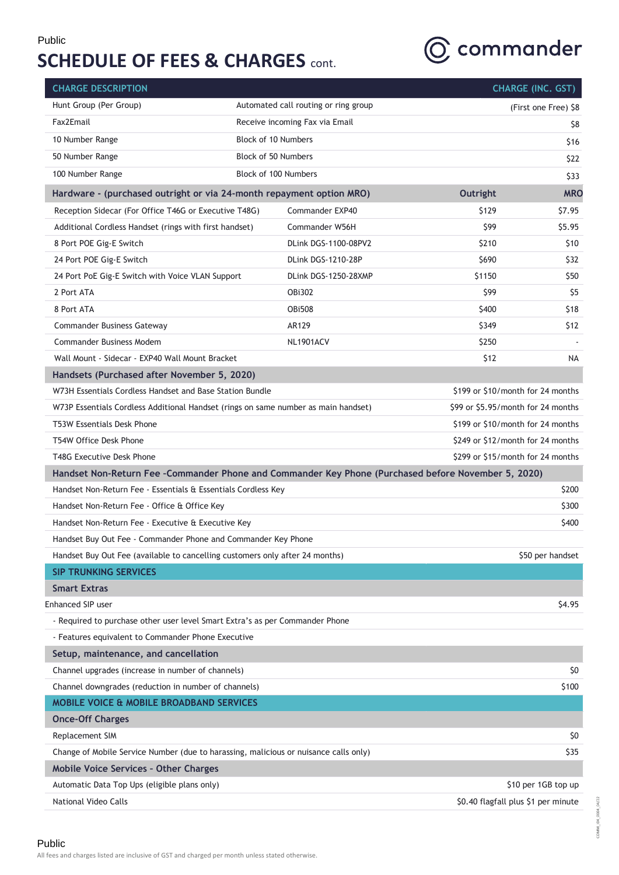

| <b>CHARGE DESCRIPTION</b>                                                                           |  |                                      |                                   | <b>CHARGE (INC. GST)</b>            |
|-----------------------------------------------------------------------------------------------------|--|--------------------------------------|-----------------------------------|-------------------------------------|
| Hunt Group (Per Group)                                                                              |  | Automated call routing or ring group |                                   | (First one Free) \$8                |
| Fax2Email                                                                                           |  | Receive incoming Fax via Email       |                                   | Ş8                                  |
| 10 Number Range                                                                                     |  | <b>Block of 10 Numbers</b>           |                                   | \$16                                |
| 50 Number Range                                                                                     |  | Block of 50 Numbers                  |                                   | \$22                                |
| 100 Number Range                                                                                    |  | Block of 100 Numbers                 |                                   | \$33                                |
| Hardware - (purchased outright or via 24-month repayment option MRO)                                |  |                                      | Outright                          | <b>MRO</b>                          |
| Reception Sidecar (For Office T46G or Executive T48G)                                               |  | Commander EXP40                      | \$129                             | \$7.95                              |
| Additional Cordless Handset (rings with first handset)                                              |  | Commander W56H                       | \$99                              | \$5.95                              |
| 8 Port POE Gig-E Switch                                                                             |  | DLink DGS-1100-08PV2                 | \$210                             | \$10                                |
| 24 Port POE Gig-E Switch                                                                            |  | DLink DGS-1210-28P                   | \$690                             | \$32                                |
| 24 Port PoE Gig-E Switch with Voice VLAN Support                                                    |  | DLink DGS-1250-28XMP                 | \$1150                            | \$50                                |
| 2 Port ATA                                                                                          |  | <b>OBi302</b>                        | \$99                              | \$5                                 |
| 8 Port ATA                                                                                          |  | <b>OBi508</b>                        | \$400                             | \$18                                |
| <b>Commander Business Gateway</b>                                                                   |  | AR129                                | \$349                             | \$12                                |
| <b>Commander Business Modem</b>                                                                     |  | <b>NL1901ACV</b>                     | \$250                             |                                     |
| Wall Mount - Sidecar - EXP40 Wall Mount Bracket                                                     |  |                                      | \$12                              | NA                                  |
| Handsets (Purchased after November 5, 2020)                                                         |  |                                      |                                   |                                     |
| W73H Essentials Cordless Handset and Base Station Bundle                                            |  |                                      |                                   | \$199 or \$10/month for 24 months   |
| W73P Essentials Cordless Additional Handset (rings on same number as main handset)                  |  |                                      |                                   | \$99 or \$5.95/month for 24 months  |
| T53W Essentials Desk Phone                                                                          |  |                                      |                                   | \$199 or \$10/month for 24 months   |
| T54W Office Desk Phone                                                                              |  |                                      | \$249 or \$12/month for 24 months |                                     |
| T48G Executive Desk Phone                                                                           |  |                                      | \$299 or \$15/month for 24 months |                                     |
| Handset Non-Return Fee -Commander Phone and Commander Key Phone (Purchased before November 5, 2020) |  |                                      |                                   |                                     |
| Handset Non-Return Fee - Essentials & Essentials Cordless Key                                       |  |                                      |                                   | \$200                               |
| Handset Non-Return Fee - Office & Office Key                                                        |  |                                      |                                   | \$300                               |
| Handset Non-Return Fee - Executive & Executive Key                                                  |  |                                      |                                   | \$400                               |
| Handset Buy Out Fee - Commander Phone and Commander Key Phone                                       |  |                                      |                                   |                                     |
| Handset Buy Out Fee (available to cancelling customers only after 24 months)                        |  |                                      |                                   | \$50 per handset                    |
| <b>SIP TRUNKING SERVICES</b>                                                                        |  |                                      |                                   |                                     |
| <b>Smart Extras</b>                                                                                 |  |                                      |                                   |                                     |
| <b>Enhanced SIP user</b>                                                                            |  |                                      |                                   | \$4.95                              |
| - Required to purchase other user level Smart Extra's as per Commander Phone                        |  |                                      |                                   |                                     |
| - Features equivalent to Commander Phone Executive                                                  |  |                                      |                                   |                                     |
| Setup, maintenance, and cancellation                                                                |  |                                      |                                   |                                     |
| Channel upgrades (increase in number of channels)                                                   |  |                                      |                                   | \$0                                 |
| Channel downgrades (reduction in number of channels)                                                |  |                                      |                                   | \$100                               |
| <b>MOBILE VOICE &amp; MOBILE BROADBAND SERVICES</b>                                                 |  |                                      |                                   |                                     |
| <b>Once-Off Charges</b>                                                                             |  |                                      |                                   |                                     |
| Replacement SIM                                                                                     |  |                                      |                                   | Ş0                                  |
| Change of Mobile Service Number (due to harassing, malicious or nuisance calls only)                |  |                                      |                                   | \$35                                |
| <b>Mobile Voice Services - Other Charges</b>                                                        |  |                                      |                                   |                                     |
| Automatic Data Top Ups (eligible plans only)                                                        |  |                                      |                                   | \$10 per 1GB top up                 |
| National Video Calls                                                                                |  |                                      |                                   | \$0.40 flagfall plus \$1 per minute |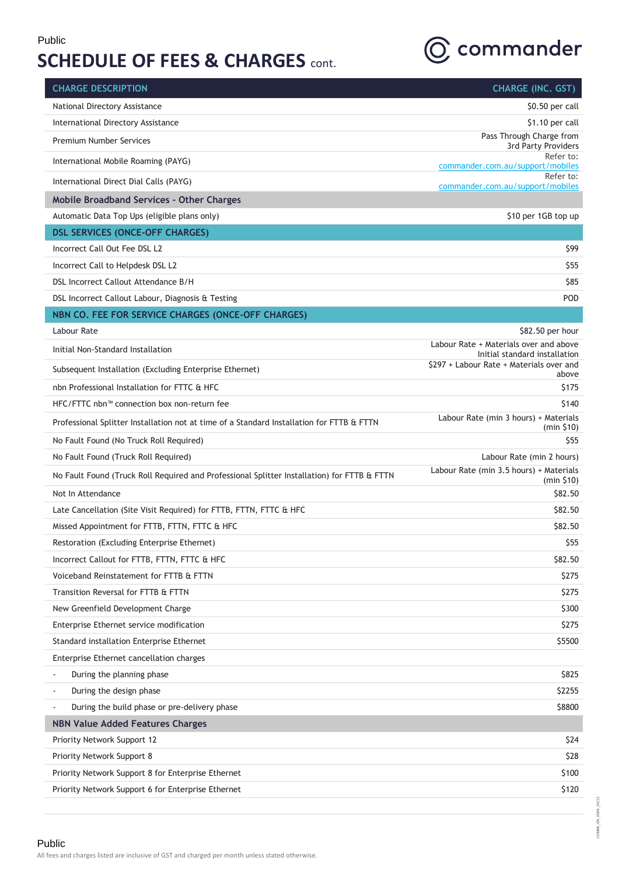

| National Directory Assistance<br>\$0.50 per call<br>International Directory Assistance<br>\$1.10 per call<br>Pass Through Charge from<br><b>Premium Number Services</b><br>3rd Party Providers<br>Refer to:<br>International Mobile Roaming (PAYG)<br>commander.com.au/support/mobiles<br>Refer to:<br>International Direct Dial Calls (PAYG)<br>commander.com.au/support/mobiles<br>Mobile Broadband Services - Other Charges<br>Automatic Data Top Ups (eligible plans only)<br>\$10 per 1GB top up<br><b>DSL SERVICES (ONCE-OFF CHARGES)</b><br>Incorrect Call Out Fee DSL L2<br>\$99<br>Incorrect Call to Helpdesk DSL L2<br>\$55<br>DSL Incorrect Callout Attendance B/H<br>\$85<br>POD<br>DSL Incorrect Callout Labour, Diagnosis & Testing<br>NBN CO. FEE FOR SERVICE CHARGES (ONCE-OFF CHARGES)<br>Labour Rate<br>\$82.50 per hour<br>Labour Rate + Materials over and above<br>Initial Non-Standard Installation<br>Initial standard installation<br>\$297 + Labour Rate + Materials over and<br>Subsequent Installation (Excluding Enterprise Ethernet)<br>above<br>nbn Professional Installation for FTTC & HFC<br>\$175<br>HFC/FTTC nbn™ connection box non-return fee<br>\$140<br>Labour Rate (min 3 hours) + Materials<br>Professional Splitter Installation not at time of a Standard Installation for FTTB & FTTN<br>(min \$10)<br>No Fault Found (No Truck Roll Required)<br>\$55<br>No Fault Found (Truck Roll Required)<br>Labour Rate (min 2 hours)<br>Labour Rate (min 3.5 hours) + Materials<br>No Fault Found (Truck Roll Required and Professional Splitter Installation) for FTTB & FTTN<br>(min \$10)<br>Not In Attendance<br>\$82.50<br>\$82.50<br>Late Cancellation (Site Visit Required) for FTTB, FTTN, FTTC & HFC<br>Missed Appointment for FTTB, FTTN, FTTC & HFC<br>\$82.50<br>\$55<br>Restoration (Excluding Enterprise Ethernet)<br>Incorrect Callout for FTTB, FTTN, FTTC & HFC<br>\$82.50<br>Voiceband Reinstatement for FTTB & FTTN<br>\$275<br>Transition Reversal for FTTB & FTTN<br>\$275<br>New Greenfield Development Charge<br>\$300<br>Enterprise Ethernet service modification<br>\$275<br>Standard installation Enterprise Ethernet<br>\$5500<br>Enterprise Ethernet cancellation charges<br>During the planning phase<br>\$825 | During the design phase<br>\$2255<br>During the build phase or pre-delivery phase<br>\$8800<br><b>NBN Value Added Features Charges</b><br>Priority Network Support 12<br>\$24<br>Priority Network Support 8<br>\$28<br>\$100<br>Priority Network Support 8 for Enterprise Ethernet<br>Priority Network Support 6 for Enterprise Ethernet<br>\$120 | <b>CHARGE DESCRIPTION</b> | <b>CHARGE (INC. GST)</b> |
|--------------------------------------------------------------------------------------------------------------------------------------------------------------------------------------------------------------------------------------------------------------------------------------------------------------------------------------------------------------------------------------------------------------------------------------------------------------------------------------------------------------------------------------------------------------------------------------------------------------------------------------------------------------------------------------------------------------------------------------------------------------------------------------------------------------------------------------------------------------------------------------------------------------------------------------------------------------------------------------------------------------------------------------------------------------------------------------------------------------------------------------------------------------------------------------------------------------------------------------------------------------------------------------------------------------------------------------------------------------------------------------------------------------------------------------------------------------------------------------------------------------------------------------------------------------------------------------------------------------------------------------------------------------------------------------------------------------------------------------------------------------------------------------------------------------------------------------------------------------------------------------------------------------------------------------------------------------------------------------------------------------------------------------------------------------------------------------------------------------------------------------------------------------------------------------------------------------------------------------------------------------------------------|---------------------------------------------------------------------------------------------------------------------------------------------------------------------------------------------------------------------------------------------------------------------------------------------------------------------------------------------------|---------------------------|--------------------------|
|                                                                                                                                                                                                                                                                                                                                                                                                                                                                                                                                                                                                                                                                                                                                                                                                                                                                                                                                                                                                                                                                                                                                                                                                                                                                                                                                                                                                                                                                                                                                                                                                                                                                                                                                                                                                                                                                                                                                                                                                                                                                                                                                                                                                                                                                                |                                                                                                                                                                                                                                                                                                                                                   |                           |                          |
|                                                                                                                                                                                                                                                                                                                                                                                                                                                                                                                                                                                                                                                                                                                                                                                                                                                                                                                                                                                                                                                                                                                                                                                                                                                                                                                                                                                                                                                                                                                                                                                                                                                                                                                                                                                                                                                                                                                                                                                                                                                                                                                                                                                                                                                                                |                                                                                                                                                                                                                                                                                                                                                   |                           |                          |
|                                                                                                                                                                                                                                                                                                                                                                                                                                                                                                                                                                                                                                                                                                                                                                                                                                                                                                                                                                                                                                                                                                                                                                                                                                                                                                                                                                                                                                                                                                                                                                                                                                                                                                                                                                                                                                                                                                                                                                                                                                                                                                                                                                                                                                                                                |                                                                                                                                                                                                                                                                                                                                                   |                           |                          |
|                                                                                                                                                                                                                                                                                                                                                                                                                                                                                                                                                                                                                                                                                                                                                                                                                                                                                                                                                                                                                                                                                                                                                                                                                                                                                                                                                                                                                                                                                                                                                                                                                                                                                                                                                                                                                                                                                                                                                                                                                                                                                                                                                                                                                                                                                |                                                                                                                                                                                                                                                                                                                                                   |                           |                          |
|                                                                                                                                                                                                                                                                                                                                                                                                                                                                                                                                                                                                                                                                                                                                                                                                                                                                                                                                                                                                                                                                                                                                                                                                                                                                                                                                                                                                                                                                                                                                                                                                                                                                                                                                                                                                                                                                                                                                                                                                                                                                                                                                                                                                                                                                                |                                                                                                                                                                                                                                                                                                                                                   |                           |                          |
|                                                                                                                                                                                                                                                                                                                                                                                                                                                                                                                                                                                                                                                                                                                                                                                                                                                                                                                                                                                                                                                                                                                                                                                                                                                                                                                                                                                                                                                                                                                                                                                                                                                                                                                                                                                                                                                                                                                                                                                                                                                                                                                                                                                                                                                                                |                                                                                                                                                                                                                                                                                                                                                   |                           |                          |
|                                                                                                                                                                                                                                                                                                                                                                                                                                                                                                                                                                                                                                                                                                                                                                                                                                                                                                                                                                                                                                                                                                                                                                                                                                                                                                                                                                                                                                                                                                                                                                                                                                                                                                                                                                                                                                                                                                                                                                                                                                                                                                                                                                                                                                                                                |                                                                                                                                                                                                                                                                                                                                                   |                           |                          |
|                                                                                                                                                                                                                                                                                                                                                                                                                                                                                                                                                                                                                                                                                                                                                                                                                                                                                                                                                                                                                                                                                                                                                                                                                                                                                                                                                                                                                                                                                                                                                                                                                                                                                                                                                                                                                                                                                                                                                                                                                                                                                                                                                                                                                                                                                |                                                                                                                                                                                                                                                                                                                                                   |                           |                          |
|                                                                                                                                                                                                                                                                                                                                                                                                                                                                                                                                                                                                                                                                                                                                                                                                                                                                                                                                                                                                                                                                                                                                                                                                                                                                                                                                                                                                                                                                                                                                                                                                                                                                                                                                                                                                                                                                                                                                                                                                                                                                                                                                                                                                                                                                                |                                                                                                                                                                                                                                                                                                                                                   |                           |                          |
|                                                                                                                                                                                                                                                                                                                                                                                                                                                                                                                                                                                                                                                                                                                                                                                                                                                                                                                                                                                                                                                                                                                                                                                                                                                                                                                                                                                                                                                                                                                                                                                                                                                                                                                                                                                                                                                                                                                                                                                                                                                                                                                                                                                                                                                                                |                                                                                                                                                                                                                                                                                                                                                   |                           |                          |
|                                                                                                                                                                                                                                                                                                                                                                                                                                                                                                                                                                                                                                                                                                                                                                                                                                                                                                                                                                                                                                                                                                                                                                                                                                                                                                                                                                                                                                                                                                                                                                                                                                                                                                                                                                                                                                                                                                                                                                                                                                                                                                                                                                                                                                                                                |                                                                                                                                                                                                                                                                                                                                                   |                           |                          |
|                                                                                                                                                                                                                                                                                                                                                                                                                                                                                                                                                                                                                                                                                                                                                                                                                                                                                                                                                                                                                                                                                                                                                                                                                                                                                                                                                                                                                                                                                                                                                                                                                                                                                                                                                                                                                                                                                                                                                                                                                                                                                                                                                                                                                                                                                |                                                                                                                                                                                                                                                                                                                                                   |                           |                          |
|                                                                                                                                                                                                                                                                                                                                                                                                                                                                                                                                                                                                                                                                                                                                                                                                                                                                                                                                                                                                                                                                                                                                                                                                                                                                                                                                                                                                                                                                                                                                                                                                                                                                                                                                                                                                                                                                                                                                                                                                                                                                                                                                                                                                                                                                                |                                                                                                                                                                                                                                                                                                                                                   |                           |                          |
|                                                                                                                                                                                                                                                                                                                                                                                                                                                                                                                                                                                                                                                                                                                                                                                                                                                                                                                                                                                                                                                                                                                                                                                                                                                                                                                                                                                                                                                                                                                                                                                                                                                                                                                                                                                                                                                                                                                                                                                                                                                                                                                                                                                                                                                                                |                                                                                                                                                                                                                                                                                                                                                   |                           |                          |
|                                                                                                                                                                                                                                                                                                                                                                                                                                                                                                                                                                                                                                                                                                                                                                                                                                                                                                                                                                                                                                                                                                                                                                                                                                                                                                                                                                                                                                                                                                                                                                                                                                                                                                                                                                                                                                                                                                                                                                                                                                                                                                                                                                                                                                                                                |                                                                                                                                                                                                                                                                                                                                                   |                           |                          |
|                                                                                                                                                                                                                                                                                                                                                                                                                                                                                                                                                                                                                                                                                                                                                                                                                                                                                                                                                                                                                                                                                                                                                                                                                                                                                                                                                                                                                                                                                                                                                                                                                                                                                                                                                                                                                                                                                                                                                                                                                                                                                                                                                                                                                                                                                |                                                                                                                                                                                                                                                                                                                                                   |                           |                          |
|                                                                                                                                                                                                                                                                                                                                                                                                                                                                                                                                                                                                                                                                                                                                                                                                                                                                                                                                                                                                                                                                                                                                                                                                                                                                                                                                                                                                                                                                                                                                                                                                                                                                                                                                                                                                                                                                                                                                                                                                                                                                                                                                                                                                                                                                                |                                                                                                                                                                                                                                                                                                                                                   |                           |                          |
|                                                                                                                                                                                                                                                                                                                                                                                                                                                                                                                                                                                                                                                                                                                                                                                                                                                                                                                                                                                                                                                                                                                                                                                                                                                                                                                                                                                                                                                                                                                                                                                                                                                                                                                                                                                                                                                                                                                                                                                                                                                                                                                                                                                                                                                                                |                                                                                                                                                                                                                                                                                                                                                   |                           |                          |
|                                                                                                                                                                                                                                                                                                                                                                                                                                                                                                                                                                                                                                                                                                                                                                                                                                                                                                                                                                                                                                                                                                                                                                                                                                                                                                                                                                                                                                                                                                                                                                                                                                                                                                                                                                                                                                                                                                                                                                                                                                                                                                                                                                                                                                                                                |                                                                                                                                                                                                                                                                                                                                                   |                           |                          |
|                                                                                                                                                                                                                                                                                                                                                                                                                                                                                                                                                                                                                                                                                                                                                                                                                                                                                                                                                                                                                                                                                                                                                                                                                                                                                                                                                                                                                                                                                                                                                                                                                                                                                                                                                                                                                                                                                                                                                                                                                                                                                                                                                                                                                                                                                |                                                                                                                                                                                                                                                                                                                                                   |                           |                          |
|                                                                                                                                                                                                                                                                                                                                                                                                                                                                                                                                                                                                                                                                                                                                                                                                                                                                                                                                                                                                                                                                                                                                                                                                                                                                                                                                                                                                                                                                                                                                                                                                                                                                                                                                                                                                                                                                                                                                                                                                                                                                                                                                                                                                                                                                                |                                                                                                                                                                                                                                                                                                                                                   |                           |                          |
|                                                                                                                                                                                                                                                                                                                                                                                                                                                                                                                                                                                                                                                                                                                                                                                                                                                                                                                                                                                                                                                                                                                                                                                                                                                                                                                                                                                                                                                                                                                                                                                                                                                                                                                                                                                                                                                                                                                                                                                                                                                                                                                                                                                                                                                                                |                                                                                                                                                                                                                                                                                                                                                   |                           |                          |
|                                                                                                                                                                                                                                                                                                                                                                                                                                                                                                                                                                                                                                                                                                                                                                                                                                                                                                                                                                                                                                                                                                                                                                                                                                                                                                                                                                                                                                                                                                                                                                                                                                                                                                                                                                                                                                                                                                                                                                                                                                                                                                                                                                                                                                                                                |                                                                                                                                                                                                                                                                                                                                                   |                           |                          |
|                                                                                                                                                                                                                                                                                                                                                                                                                                                                                                                                                                                                                                                                                                                                                                                                                                                                                                                                                                                                                                                                                                                                                                                                                                                                                                                                                                                                                                                                                                                                                                                                                                                                                                                                                                                                                                                                                                                                                                                                                                                                                                                                                                                                                                                                                |                                                                                                                                                                                                                                                                                                                                                   |                           |                          |
|                                                                                                                                                                                                                                                                                                                                                                                                                                                                                                                                                                                                                                                                                                                                                                                                                                                                                                                                                                                                                                                                                                                                                                                                                                                                                                                                                                                                                                                                                                                                                                                                                                                                                                                                                                                                                                                                                                                                                                                                                                                                                                                                                                                                                                                                                |                                                                                                                                                                                                                                                                                                                                                   |                           |                          |
|                                                                                                                                                                                                                                                                                                                                                                                                                                                                                                                                                                                                                                                                                                                                                                                                                                                                                                                                                                                                                                                                                                                                                                                                                                                                                                                                                                                                                                                                                                                                                                                                                                                                                                                                                                                                                                                                                                                                                                                                                                                                                                                                                                                                                                                                                |                                                                                                                                                                                                                                                                                                                                                   |                           |                          |
|                                                                                                                                                                                                                                                                                                                                                                                                                                                                                                                                                                                                                                                                                                                                                                                                                                                                                                                                                                                                                                                                                                                                                                                                                                                                                                                                                                                                                                                                                                                                                                                                                                                                                                                                                                                                                                                                                                                                                                                                                                                                                                                                                                                                                                                                                |                                                                                                                                                                                                                                                                                                                                                   |                           |                          |
|                                                                                                                                                                                                                                                                                                                                                                                                                                                                                                                                                                                                                                                                                                                                                                                                                                                                                                                                                                                                                                                                                                                                                                                                                                                                                                                                                                                                                                                                                                                                                                                                                                                                                                                                                                                                                                                                                                                                                                                                                                                                                                                                                                                                                                                                                |                                                                                                                                                                                                                                                                                                                                                   |                           |                          |
|                                                                                                                                                                                                                                                                                                                                                                                                                                                                                                                                                                                                                                                                                                                                                                                                                                                                                                                                                                                                                                                                                                                                                                                                                                                                                                                                                                                                                                                                                                                                                                                                                                                                                                                                                                                                                                                                                                                                                                                                                                                                                                                                                                                                                                                                                |                                                                                                                                                                                                                                                                                                                                                   |                           |                          |
|                                                                                                                                                                                                                                                                                                                                                                                                                                                                                                                                                                                                                                                                                                                                                                                                                                                                                                                                                                                                                                                                                                                                                                                                                                                                                                                                                                                                                                                                                                                                                                                                                                                                                                                                                                                                                                                                                                                                                                                                                                                                                                                                                                                                                                                                                |                                                                                                                                                                                                                                                                                                                                                   |                           |                          |
|                                                                                                                                                                                                                                                                                                                                                                                                                                                                                                                                                                                                                                                                                                                                                                                                                                                                                                                                                                                                                                                                                                                                                                                                                                                                                                                                                                                                                                                                                                                                                                                                                                                                                                                                                                                                                                                                                                                                                                                                                                                                                                                                                                                                                                                                                |                                                                                                                                                                                                                                                                                                                                                   |                           |                          |
|                                                                                                                                                                                                                                                                                                                                                                                                                                                                                                                                                                                                                                                                                                                                                                                                                                                                                                                                                                                                                                                                                                                                                                                                                                                                                                                                                                                                                                                                                                                                                                                                                                                                                                                                                                                                                                                                                                                                                                                                                                                                                                                                                                                                                                                                                |                                                                                                                                                                                                                                                                                                                                                   |                           |                          |
|                                                                                                                                                                                                                                                                                                                                                                                                                                                                                                                                                                                                                                                                                                                                                                                                                                                                                                                                                                                                                                                                                                                                                                                                                                                                                                                                                                                                                                                                                                                                                                                                                                                                                                                                                                                                                                                                                                                                                                                                                                                                                                                                                                                                                                                                                |                                                                                                                                                                                                                                                                                                                                                   |                           |                          |
|                                                                                                                                                                                                                                                                                                                                                                                                                                                                                                                                                                                                                                                                                                                                                                                                                                                                                                                                                                                                                                                                                                                                                                                                                                                                                                                                                                                                                                                                                                                                                                                                                                                                                                                                                                                                                                                                                                                                                                                                                                                                                                                                                                                                                                                                                |                                                                                                                                                                                                                                                                                                                                                   |                           |                          |
|                                                                                                                                                                                                                                                                                                                                                                                                                                                                                                                                                                                                                                                                                                                                                                                                                                                                                                                                                                                                                                                                                                                                                                                                                                                                                                                                                                                                                                                                                                                                                                                                                                                                                                                                                                                                                                                                                                                                                                                                                                                                                                                                                                                                                                                                                |                                                                                                                                                                                                                                                                                                                                                   |                           |                          |
|                                                                                                                                                                                                                                                                                                                                                                                                                                                                                                                                                                                                                                                                                                                                                                                                                                                                                                                                                                                                                                                                                                                                                                                                                                                                                                                                                                                                                                                                                                                                                                                                                                                                                                                                                                                                                                                                                                                                                                                                                                                                                                                                                                                                                                                                                |                                                                                                                                                                                                                                                                                                                                                   |                           |                          |
|                                                                                                                                                                                                                                                                                                                                                                                                                                                                                                                                                                                                                                                                                                                                                                                                                                                                                                                                                                                                                                                                                                                                                                                                                                                                                                                                                                                                                                                                                                                                                                                                                                                                                                                                                                                                                                                                                                                                                                                                                                                                                                                                                                                                                                                                                |                                                                                                                                                                                                                                                                                                                                                   |                           |                          |
|                                                                                                                                                                                                                                                                                                                                                                                                                                                                                                                                                                                                                                                                                                                                                                                                                                                                                                                                                                                                                                                                                                                                                                                                                                                                                                                                                                                                                                                                                                                                                                                                                                                                                                                                                                                                                                                                                                                                                                                                                                                                                                                                                                                                                                                                                |                                                                                                                                                                                                                                                                                                                                                   |                           |                          |
|                                                                                                                                                                                                                                                                                                                                                                                                                                                                                                                                                                                                                                                                                                                                                                                                                                                                                                                                                                                                                                                                                                                                                                                                                                                                                                                                                                                                                                                                                                                                                                                                                                                                                                                                                                                                                                                                                                                                                                                                                                                                                                                                                                                                                                                                                |                                                                                                                                                                                                                                                                                                                                                   |                           |                          |
|                                                                                                                                                                                                                                                                                                                                                                                                                                                                                                                                                                                                                                                                                                                                                                                                                                                                                                                                                                                                                                                                                                                                                                                                                                                                                                                                                                                                                                                                                                                                                                                                                                                                                                                                                                                                                                                                                                                                                                                                                                                                                                                                                                                                                                                                                |                                                                                                                                                                                                                                                                                                                                                   |                           |                          |
|                                                                                                                                                                                                                                                                                                                                                                                                                                                                                                                                                                                                                                                                                                                                                                                                                                                                                                                                                                                                                                                                                                                                                                                                                                                                                                                                                                                                                                                                                                                                                                                                                                                                                                                                                                                                                                                                                                                                                                                                                                                                                                                                                                                                                                                                                |                                                                                                                                                                                                                                                                                                                                                   |                           |                          |

#### Public All fees and charges listed are inclusive of GST and charged per month unless stated otherwise.